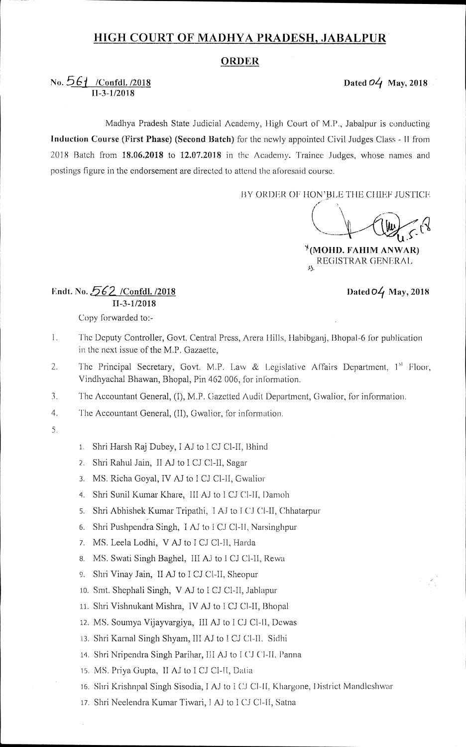## **HIGH COURT OF MADHYA PRADESH, JABALPUR**

## **ORDER**

## No.  $\frac{561}{ }$  /Confdl. /2018 Dated *O*4 May, 2018 11-34/2018

Madhya Pradesh State Judicial Academy, High Court of M.P., Jabalpur is conducting Induction Course (First Phase) (Second Batch) for the newly appointed Civil Judges Class - II from 2018 Batch from 18.06.2018 to 12.07.2018 in the Academy. Trainee Judges, whose names and postings figure in the endorsement are directed to attend the aforesaid course.

BY ORDER OF HON'BLE THE CHIEF JUSTICE

**U.** 

 $*(MOHD. FAHIM AN WAR)$ REGISTRAR GENERAL

## Endt. No. 562 / Confdl. /2018 Dated 04 May, 2018 11-3-1/2018

Copy forwarded to:-

- 1. The Deputy Controller, Govt. Central Press, Arera Hills, Habibganj, Bhopal-6 for publication in the next issue of the M.P. Gazaette,
- 2. The Principal Secretary, Govt. M.P. Law & Legislative Affairs Department, 1<sup>st</sup> Floor, Vindhyachal Bhawan, Bhopal, Pin 462 006, for information.
- 3. The Accountant General, (I), M.P. Ciazetted Audit Department, Gwalior, for information.
- 4. The Accountant General, (II), Gwalior, for information.
- 5.
- 1. Shri Harsh Raj Dubey, I AJ to I CJ Cl-II, Bhind
- 2. Shri Rahul Jain, II AJ to I CJ Cl-II, Sagar
- 3. MS. Richa Goyal, IV AJ to I CJ Cl-II, Gwalior
- 4. Shri Sunil Kumar Khare, III AJ to I CJ Cl-II, Damoh
- 5. Shri Abhishek Kumar Tripathi, I AJ to I CJ Cl-II, Chhatarpur
- 6. Shri Pushpendra Singh, I AJ to I CJ Cl-II, Narsinghpur
- 7. MS. Leela Lodhi, V AJ to I CJ Cl-II, Harda
- 8. MS. Swati Singh Baghel, III AJ to I CJ Cl-II, Rewa
- 9. Shri Vinay Jain, II AJ to I CJ Cl-II, Sheopur
- 10. Smt. Shephali Singh, V AJ to I CJ Cl-II, Jablapur
- 11. Shri Vishnukant Mishra, IV AJ to I CJ CI-II, Bhopal
- 12. MS. Soumya Vijayvargiya, III AJ to I CJ Cl-II, Dewas
- 13. Shri Karnal Singh Shyam, III AJ to I CJ Cl-II. Sidhi
- 14. Shri Nripendra Singh Parihar, III AJ to I CJ CI-II, Panna
- 15. MS. Priya Gupta, II AJ to I CJ Cl-II, Datia
- 16. Shri Krishnpal Singh Sisodia, I AJ to I CJ CI-II, Khargone, District Mandleshwar
- 17. Shri Neelendra Kumar Tiwari, I AJ to I CJ Cl-II, Satna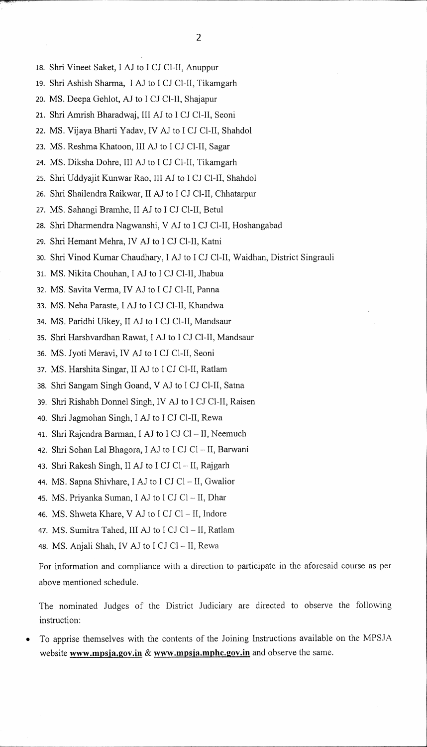- 18. Shri Vineet Saket, I AJ to I CJ Cl-II, Anuppur
- 19. Shri Ashish Sharma, I AJ to I CJ Cl-IT, Tikamgarh
- 20. MS. Deepa Gehlot, AJ to I CJ Cl-II, Shajapur
- 21. Shri Amrish Bharadwaj, III AJ to I CJ Cl-II, Seoni
- 22. MS. Vijaya Bharti Yadav, IV AJ to I CJ Cl-II, Shahdol
- 23. MS. Reshma Khatoon, III AJ to I CJ Cl-II, Sagar
- 24. MS. Diksha Dohre, III AJ to I CJ Cl-IT, Tikamgarh
- 25. Shri Uddyajit Kunwar Rao, III AJ to I CJ Cl-II, Shahdol
- 26. Shri Shailendra Raikwar, II AJ to I CJ Cl-II, Chhatarpur
- 27. MS. Sahangi Bramhe, II AJ to I CJ Cl-II, Betul
- 28. Shri Dharmendra Nagwanshi, V AJ to I CJ Cl-II, Hoshangabad
- 29. Shri Hemant Mehra, IV AJ to I CJ Cl-IT, Katni
- 30. Shri Vinod Kumar Chaudhary, I AJ to I CJ Cl-II, Waidhan, District Singrauli
- 31. MS. Nikita Chouhan, I AJ to I CJ Cl-IT, Jhabua
- 32. MS. Savita Verma, IV AJ to I CJ Cl-II, Panna
- 33. MS. Neha Paraste, I AJ to I CJ Cl-II, Khandwa
- 34. MS. Paridhi Uikey, II AJ to I CJ Cl-II, Mandsaur
- 35. Shri Harshvardhan Rawat, I AJ to I CJ Cl-II, Mandsaur
- 36. MS. Jyoti Meravi, IV AJ to I CJ Cl-IT, Seoni
- 37. MS. Harshita Singar, II AJ to I CJ Cl-II, Ratlam
- 38. Shri Sangam Singh Goand, V AJ to I CJ Cl-II, Satna
- 39. Shri Rishabh Donnel Singh, IV AJ to I CJ Cl-II, Raisen
- 40. Shri Jagmohan Singh, I AJ to I CJ Cl-II, Rewa
- 41. Shri Rajendra Barman, I AJ to I CJ Cl- II, Neemuch
- 42. Shri Sohan Lal Bhagora, I AJ to I CJ Cl II, Barwani
- 43. Shri Rakesh Singh, II AJ to I CJ Cl  $-$  II, Rajgarh
- 44. MS. Sapna Shivhare, I AJ to I CJ Cl II, Gwalior
- 45. MS. Priyanka Suman, I AJ to I CJ Cl  $-$  II, Dhar
- 46. MS. Shweta Khare, V AJ to I CJ Cl  $-$  II, Indore
- 47. MS. Sumitra Tahed, III AJ to I CJ Cl  $-$  II, Ratlam
- 48. MS. Anjali Shah, IV AJ to I CJ Cl II, Rewa

For information and compliance with a direction to participate in the aforesaid course as per above mentioned schedule.

The nominated Judges of the District Judiciary are directed to observe the following instruction:

• To apprise themselves with the contents of the Joining Instructions available on the MPSJA website **www.mpsja.gov.in** & www.mpsja.mphc.gov.in and observe the same.